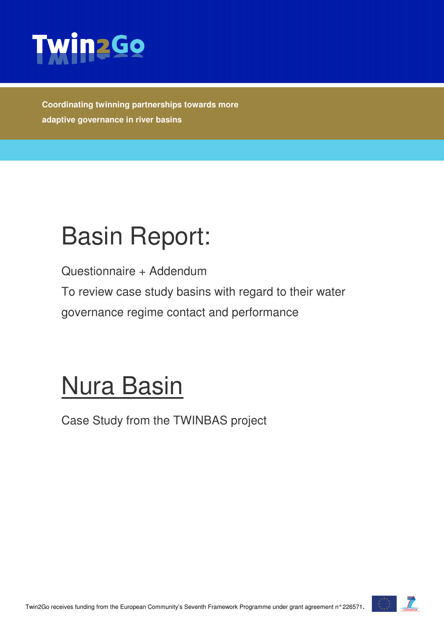

**Coordinating twinning partnerships towards more adaptive governance in river basins** 

## Basin Report:

Questionnaire + Addendum

To review case study basins with regard to their water governance regime contact and performance

# Nura Basin

Case Study from the TWINBAS project

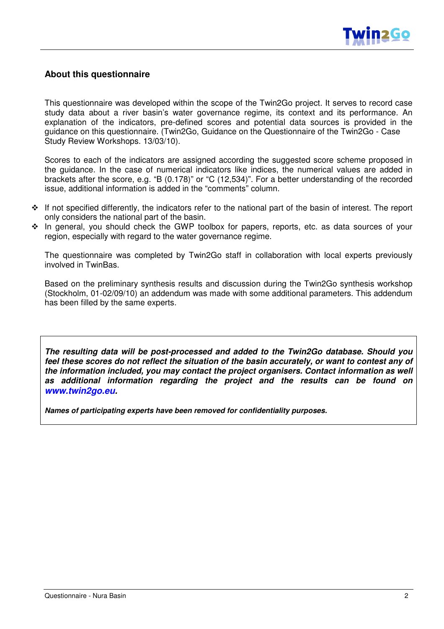

#### **About this questionnaire**

This questionnaire was developed within the scope of the Twin2Go project. It serves to record case study data about a river basin's water governance regime, its context and its performance. An explanation of the indicators, pre-defined scores and potential data sources is provided in the guidance on this questionnaire. (Twin2Go, Guidance on the Questionnaire of the Twin2Go - Case Study Review Workshops. 13/03/10).

Scores to each of the indicators are assigned according the suggested score scheme proposed in the guidance. In the case of numerical indicators like indices, the numerical values are added in brackets after the score, e.g. "B (0.178)" or "C (12,534)". For a better understanding of the recorded issue, additional information is added in the "comments" column.

- $\cdot \cdot$  If not specified differently, the indicators refer to the national part of the basin of interest. The report only considers the national part of the basin.
- \* In general, you should check the GWP toolbox for papers, reports, etc. as data sources of your region, especially with regard to the water governance regime.

The questionnaire was completed by Twin2Go staff in collaboration with local experts previously involved in TwinBas.

Based on the preliminary synthesis results and discussion during the Twin2Go synthesis workshop (Stockholm, 01-02/09/10) an addendum was made with some additional parameters. This addendum has been filled by the same experts.

**The resulting data will be post-processed and added to the Twin2Go database. Should you feel these scores do not reflect the situation of the basin accurately, or want to contest any of the information included, you may contact the project organisers. Contact information as well as additional information regarding the project and the results can be found on www.twin2go.eu.** 

**Names of participating experts have been removed for confidentiality purposes.**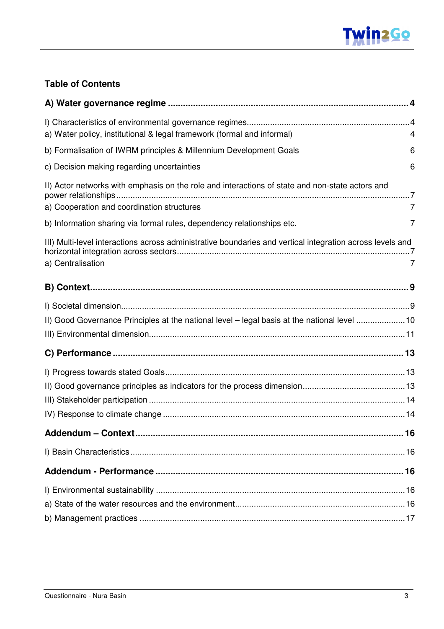#### **Table of Contents**

| a) Water policy, institutional & legal framework (formal and informal)<br>4                                                                        |  |
|----------------------------------------------------------------------------------------------------------------------------------------------------|--|
| b) Formalisation of IWRM principles & Millennium Development Goals<br>6                                                                            |  |
| c) Decision making regarding uncertainties<br>6                                                                                                    |  |
| II) Actor networks with emphasis on the role and interactions of state and non-state actors and<br>a) Cooperation and coordination structures<br>7 |  |
| b) Information sharing via formal rules, dependency relationships etc.<br>7                                                                        |  |
| III) Multi-level interactions across administrative boundaries and vertical integration across levels and<br>a) Centralisation                     |  |
|                                                                                                                                                    |  |
| II) Good Governance Principles at the national level - legal basis at the national level 10                                                        |  |
|                                                                                                                                                    |  |
|                                                                                                                                                    |  |
|                                                                                                                                                    |  |
|                                                                                                                                                    |  |
|                                                                                                                                                    |  |
|                                                                                                                                                    |  |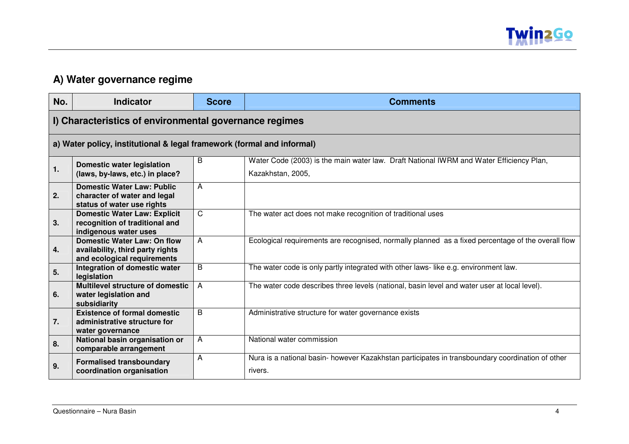

#### **A) Water governance regime**

| No. | <b>Indicator</b>                                                                                      | <b>Score</b>   | <b>Comments</b>                                                                                              |
|-----|-------------------------------------------------------------------------------------------------------|----------------|--------------------------------------------------------------------------------------------------------------|
|     | I) Characteristics of environmental governance regimes                                                |                |                                                                                                              |
|     | a) Water policy, institutional & legal framework (formal and informal)                                |                |                                                                                                              |
| 1.  | <b>Domestic water legislation</b>                                                                     | B              | Water Code (2003) is the main water law. Draft National IWRM and Water Efficiency Plan,<br>Kazakhstan, 2005, |
|     | (laws, by-laws, etc.) in place?                                                                       |                |                                                                                                              |
| 2.  | <b>Domestic Water Law: Public</b><br>character of water and legal<br>status of water use rights       | A              |                                                                                                              |
| 3.  | <b>Domestic Water Law: Explicit</b><br>recognition of traditional and<br>indigenous water uses        | $\mathsf{C}$   | The water act does not make recognition of traditional uses                                                  |
| 4.  | <b>Domestic Water Law: On flow</b><br>availability, third party rights<br>and ecological requirements | $\overline{A}$ | Ecological requirements are recognised, normally planned as a fixed percentage of the overall flow           |
| 5.  | Integration of domestic water<br>legislation                                                          | B              | The water code is only partly integrated with other laws-like e.g. environment law.                          |
| 6.  | <b>Multilevel structure of domestic</b><br>water legislation and<br>subsidiarity                      | A              | The water code describes three levels (national, basin level and water user at local level).                 |
| 7.  | <b>Existence of formal domestic</b><br>administrative structure for<br>water governance               | B              | Administrative structure for water governance exists                                                         |
| 8.  | National basin organisation or<br>comparable arrangement                                              | A              | National water commission                                                                                    |
| 9.  | <b>Formalised transboundary</b><br>coordination organisation                                          | A              | Nura is a national basin- however Kazakhstan participates in transboundary coordination of other<br>rivers.  |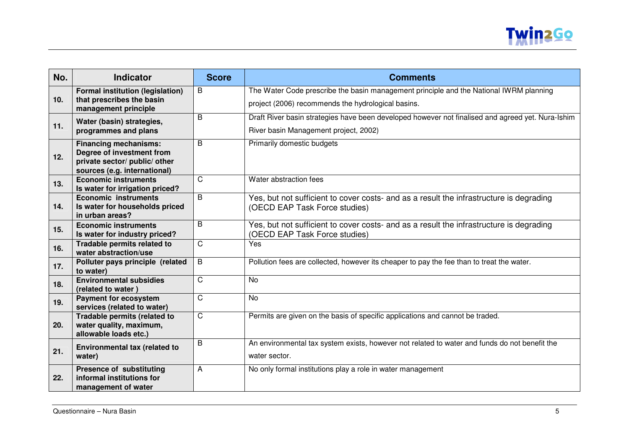

| No.             | <b>Indicator</b>                                            | <b>Score</b>   | <b>Comments</b>                                                                                   |
|-----------------|-------------------------------------------------------------|----------------|---------------------------------------------------------------------------------------------------|
|                 | <b>Formal institution (legislation)</b>                     | $\overline{B}$ | The Water Code prescribe the basin management principle and the National IWRM planning            |
| 10 <sub>1</sub> | that prescribes the basin<br>management principle           |                | project (2006) recommends the hydrological basins.                                                |
|                 | Water (basin) strategies,                                   | B              | Draft River basin strategies have been developed however not finalised and agreed yet. Nura-Ishim |
| 11.             | programmes and plans                                        |                | River basin Management project, 2002)                                                             |
|                 | <b>Financing mechanisms:</b>                                | B              | Primarily domestic budgets                                                                        |
| 12.             | Degree of investment from<br>private sector/ public/ other  |                |                                                                                                   |
|                 | sources (e.g. international)                                |                |                                                                                                   |
| 13.             | <b>Economic instruments</b>                                 | C              | Water abstraction fees                                                                            |
|                 | Is water for irrigation priced?                             |                |                                                                                                   |
|                 | <b>Economic instruments</b>                                 | B              | Yes, but not sufficient to cover costs- and as a result the infrastructure is degrading           |
| 14.             | Is water for households priced<br>in urban areas?           |                | (OECD EAP Task Force studies)                                                                     |
| 15.             | <b>Economic instruments</b>                                 | B              | Yes, but not sufficient to cover costs- and as a result the infrastructure is degrading           |
|                 | Is water for industry priced?                               |                | (OECD EAP Task Force studies)                                                                     |
| 16.             | Tradable permits related to<br>water abstraction/use        | $\mathsf{C}$   | Yes                                                                                               |
| 17.             | Polluter pays principle (related<br>to water)               | B              | Pollution fees are collected, however its cheaper to pay the fee than to treat the water.         |
|                 | <b>Environmental subsidies</b>                              | $\mathsf{C}$   | No                                                                                                |
| 18.             | (related to water)                                          |                |                                                                                                   |
| 19.             | <b>Payment for ecosystem</b><br>services (related to water) | $\mathsf{C}$   | <b>No</b>                                                                                         |
|                 | Tradable permits (related to                                | $\overline{C}$ | Permits are given on the basis of specific applications and cannot be traded.                     |
| 20.             | water quality, maximum,                                     |                |                                                                                                   |
|                 | allowable loads etc.)                                       |                |                                                                                                   |
| 21.             | Environmental tax (related to                               | B              | An environmental tax system exists, however not related to water and funds do not benefit the     |
|                 | water)                                                      |                | water sector.                                                                                     |
|                 | <b>Presence of substituting</b>                             | A              | No only formal institutions play a role in water management                                       |
| 22.             | informal institutions for                                   |                |                                                                                                   |
|                 | management of water                                         |                |                                                                                                   |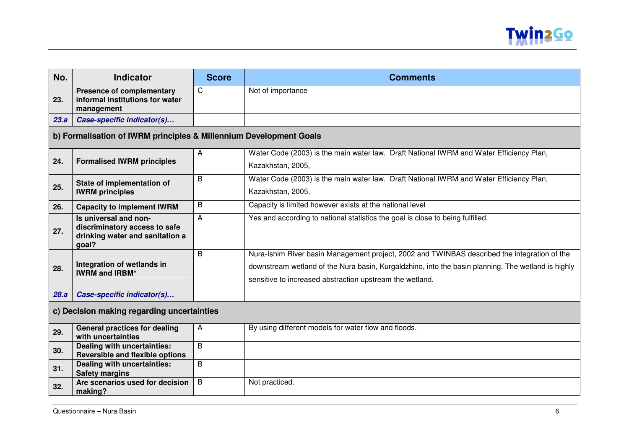

| No.  | <b>Indicator</b>                                                                                   | <b>Score</b> | <b>Comments</b>                                                                                                                                                                                                                                                |
|------|----------------------------------------------------------------------------------------------------|--------------|----------------------------------------------------------------------------------------------------------------------------------------------------------------------------------------------------------------------------------------------------------------|
| 23.  | <b>Presence of complementary</b><br>informal institutions for water<br>management                  | C            | Not of importance                                                                                                                                                                                                                                              |
| 23.a | Case-specific indicator(s)                                                                         |              |                                                                                                                                                                                                                                                                |
|      | b) Formalisation of IWRM principles & Millennium Development Goals                                 |              |                                                                                                                                                                                                                                                                |
|      |                                                                                                    | A            | Water Code (2003) is the main water law. Draft National IWRM and Water Efficiency Plan,                                                                                                                                                                        |
| 24.  | <b>Formalised IWRM principles</b>                                                                  |              | Kazakhstan, 2005,                                                                                                                                                                                                                                              |
|      | State of implementation of                                                                         | B            | Water Code (2003) is the main water law. Draft National IWRM and Water Efficiency Plan,                                                                                                                                                                        |
| 25.  | <b>IWRM</b> principles                                                                             |              | Kazakhstan, 2005,                                                                                                                                                                                                                                              |
| 26.  | <b>Capacity to implement IWRM</b>                                                                  | B            | Capacity is limited however exists at the national level                                                                                                                                                                                                       |
| 27.  | Is universal and non-<br>discriminatory access to safe<br>drinking water and sanitation a<br>goal? | A            | Yes and according to national statistics the goal is close to being fulfilled.                                                                                                                                                                                 |
| 28.  | Integration of wetlands in<br><b>IWRM and IRBM*</b>                                                | B            | Nura-Ishim River basin Management project, 2002 and TWINBAS described the integration of the<br>downstream wetland of the Nura basin, Kurgaldzhino, into the basin planning. The wetland is highly<br>sensitive to increased abstraction upstream the wetland. |
| 28.a | Case-specific indicator(s)                                                                         |              |                                                                                                                                                                                                                                                                |
|      | c) Decision making regarding uncertainties                                                         |              |                                                                                                                                                                                                                                                                |
| 29.  | <b>General practices for dealing</b><br>with uncertainties                                         | A            | By using different models for water flow and floods.                                                                                                                                                                                                           |
| 30.  | Dealing with uncertainties:<br><b>Reversible and flexible options</b>                              | B            |                                                                                                                                                                                                                                                                |
| 31.  | Dealing with uncertainties:<br><b>Safety margins</b>                                               | B            |                                                                                                                                                                                                                                                                |
| 32.  | Are scenarios used for decision<br>making?                                                         | B            | Not practiced.                                                                                                                                                                                                                                                 |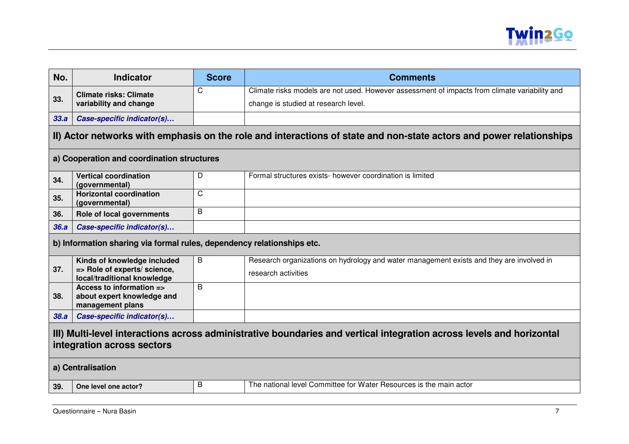

| No.                                                                                                                                                | <b>Indicator</b>                                                       | <b>Score</b> | <b>Comments</b>                                                                                                     |
|----------------------------------------------------------------------------------------------------------------------------------------------------|------------------------------------------------------------------------|--------------|---------------------------------------------------------------------------------------------------------------------|
|                                                                                                                                                    | <b>Climate risks: Climate</b>                                          | C            | Climate risks models are not used. However assessment of impacts from climate variability and                       |
| 33.                                                                                                                                                | variability and change                                                 |              | change is studied at research level.                                                                                |
| 33.a                                                                                                                                               | Case-specific indicator(s)                                             |              |                                                                                                                     |
|                                                                                                                                                    |                                                                        |              | II) Actor networks with emphasis on the role and interactions of state and non-state actors and power relationships |
|                                                                                                                                                    | a) Cooperation and coordination structures                             |              |                                                                                                                     |
| 34.                                                                                                                                                | <b>Vertical coordination</b><br>(governmental)                         | D            | Formal structures exists- however coordination is limited                                                           |
| 35.                                                                                                                                                | <b>Horizontal coordination</b><br>(governmental)                       | $\mathsf{C}$ |                                                                                                                     |
| 36.                                                                                                                                                | Role of local governments                                              | B            |                                                                                                                     |
| 36.a                                                                                                                                               | Case-specific indicator(s)                                             |              |                                                                                                                     |
|                                                                                                                                                    | b) Information sharing via formal rules, dependency relationships etc. |              |                                                                                                                     |
|                                                                                                                                                    | Kinds of knowledge included                                            | B            | Research organizations on hydrology and water management exists and they are involved in                            |
| 37.                                                                                                                                                | => Role of experts/ science,<br>local/traditional knowledge            |              | research activities                                                                                                 |
|                                                                                                                                                    | Access to information =>                                               | B            |                                                                                                                     |
| 38.                                                                                                                                                | about expert knowledge and<br>management plans                         |              |                                                                                                                     |
| 38.a                                                                                                                                               | Case-specific indicator(s)                                             |              |                                                                                                                     |
| III) Multi-level interactions across administrative boundaries and vertical integration across levels and horizontal<br>integration across sectors |                                                                        |              |                                                                                                                     |
|                                                                                                                                                    | a) Centralisation                                                      |              |                                                                                                                     |
| 39.                                                                                                                                                | One level one actor?                                                   | B            | The national level Committee for Water Resources is the main actor                                                  |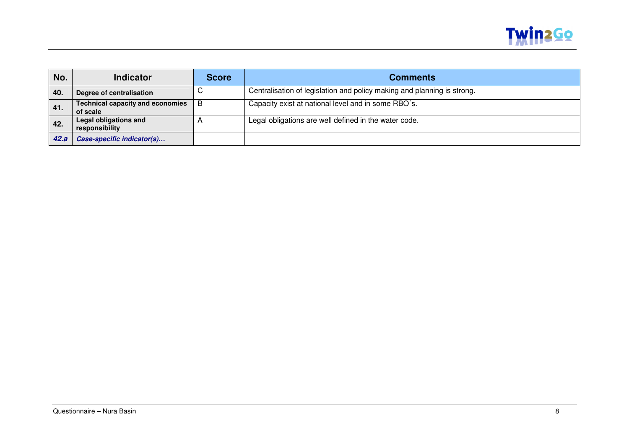

| No.  | <b>Indicator</b>                                    | <b>Score</b> | <b>Comments</b>                                                         |
|------|-----------------------------------------------------|--------------|-------------------------------------------------------------------------|
| 40.  | Degree of centralisation                            |              | Centralisation of legislation and policy making and planning is strong. |
| 41.  | <b>Technical capacity and economies</b><br>of scale | B            | Capacity exist at national level and in some RBO's.                     |
| 42.  | <b>Legal obligations and</b><br>responsibility      |              | Legal obligations are well defined in the water code.                   |
| 42.a | Case-specific indicator(s)                          |              |                                                                         |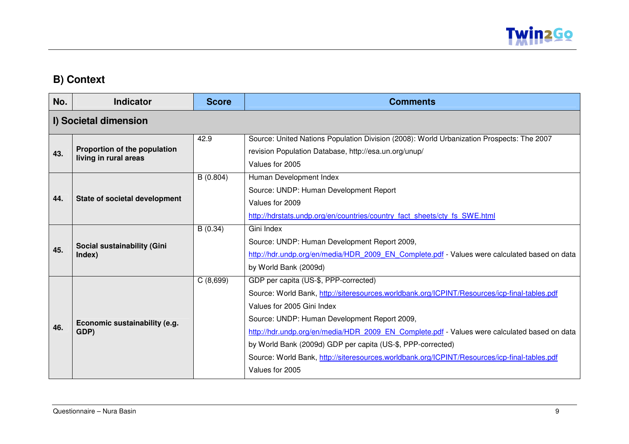

### **B) Context**

| No. | <b>Indicator</b>                                      | <b>Score</b> | <b>Comments</b>                                                                                                                                                                                                                                                                                                                                                                                                                                                                                       |
|-----|-------------------------------------------------------|--------------|-------------------------------------------------------------------------------------------------------------------------------------------------------------------------------------------------------------------------------------------------------------------------------------------------------------------------------------------------------------------------------------------------------------------------------------------------------------------------------------------------------|
|     | I) Societal dimension                                 |              |                                                                                                                                                                                                                                                                                                                                                                                                                                                                                                       |
| 43. | Proportion of the population<br>living in rural areas | 42.9         | Source: United Nations Population Division (2008): World Urbanization Prospects: The 2007<br>revision Population Database, http://esa.un.org/unup/<br>Values for 2005                                                                                                                                                                                                                                                                                                                                 |
| 44. | State of societal development                         | B(0.804)     | Human Development Index<br>Source: UNDP: Human Development Report<br>Values for 2009<br>http://hdrstats.undp.org/en/countries/country_fact_sheets/cty_fs_SWE.html                                                                                                                                                                                                                                                                                                                                     |
| 45. | Social sustainability (Gini<br>Index)                 | B(0.34)      | Gini Index<br>Source: UNDP: Human Development Report 2009,<br>http://hdr.undp.org/en/media/HDR 2009 EN Complete.pdf - Values were calculated based on data<br>by World Bank (2009d)                                                                                                                                                                                                                                                                                                                   |
| 46. | Economic sustainability (e.g.<br>GDP)                 | C(8,699)     | GDP per capita (US-\$, PPP-corrected)<br>Source: World Bank, http://siteresources.worldbank.org/ICPINT/Resources/icp-final-tables.pdf<br>Values for 2005 Gini Index<br>Source: UNDP: Human Development Report 2009,<br>http://hdr.undp.org/en/media/HDR 2009 EN Complete.pdf - Values were calculated based on data<br>by World Bank (2009d) GDP per capita (US-\$, PPP-corrected)<br>Source: World Bank, http://siteresources.worldbank.org/ICPINT/Resources/icp-final-tables.pdf<br>Values for 2005 |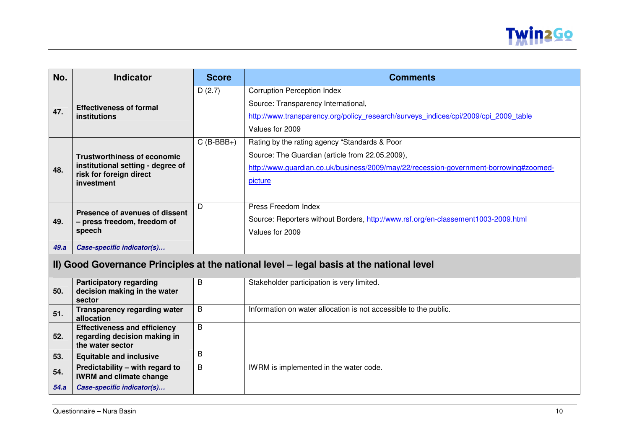

| No.  | <b>Indicator</b>                                                                         | <b>Score</b>   | <b>Comments</b>                                                                       |  |  |
|------|------------------------------------------------------------------------------------------|----------------|---------------------------------------------------------------------------------------|--|--|
|      |                                                                                          | D(2.7)         | <b>Corruption Perception Index</b>                                                    |  |  |
|      | <b>Effectiveness of formal</b>                                                           |                | Source: Transparency International,                                                   |  |  |
| 47.  | institutions                                                                             |                | http://www.transparency.org/policy research/surveys indices/cpi/2009/cpi 2009 table   |  |  |
|      |                                                                                          |                | Values for 2009                                                                       |  |  |
|      |                                                                                          | $C$ (B-BBB+)   | Rating by the rating agency "Standards & Poor                                         |  |  |
|      | <b>Trustworthiness of economic</b>                                                       |                | Source: The Guardian (article from 22.05.2009),                                       |  |  |
| 48.  | institutional setting - degree of                                                        |                | http://www.quardian.co.uk/business/2009/may/22/recession-government-borrowing#zoomed- |  |  |
|      | risk for foreign direct<br>investment                                                    |                | picture                                                                               |  |  |
|      |                                                                                          |                |                                                                                       |  |  |
|      | Presence of avenues of dissent                                                           | D              | Press Freedom Index                                                                   |  |  |
| 49.  | - press freedom, freedom of                                                              |                | Source: Reporters without Borders, http://www.rsf.org/en-classement1003-2009.html     |  |  |
|      | speech                                                                                   |                | Values for 2009                                                                       |  |  |
| 49.a | Case-specific indicator(s)                                                               |                |                                                                                       |  |  |
|      | II) Good Governance Principles at the national level - legal basis at the national level |                |                                                                                       |  |  |
|      | <b>Participatory regarding</b>                                                           | B              | Stakeholder participation is very limited.                                            |  |  |
| 50.  | decision making in the water<br>sector                                                   |                |                                                                                       |  |  |
| 51.  | <b>Transparency regarding water</b><br>allocation                                        | B              | Information on water allocation is not accessible to the public.                      |  |  |
|      | <b>Effectiveness and efficiency</b>                                                      | $\overline{B}$ |                                                                                       |  |  |
| 52.  | regarding decision making in<br>the water sector                                         |                |                                                                                       |  |  |
| 53.  | <b>Equitable and inclusive</b>                                                           | B              |                                                                                       |  |  |
| 54.  | Predictability - with regard to<br><b>IWRM and climate change</b>                        | B              | IWRM is implemented in the water code.                                                |  |  |
| 54.a | Case-specific indicator(s)                                                               |                |                                                                                       |  |  |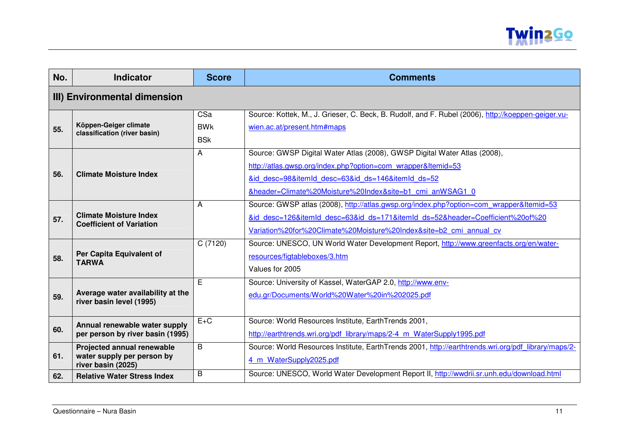

| No. | <b>Indicator</b>                                                               | <b>Score</b>                    | <b>Comments</b>                                                                                                                                                                                                                                            |  |  |
|-----|--------------------------------------------------------------------------------|---------------------------------|------------------------------------------------------------------------------------------------------------------------------------------------------------------------------------------------------------------------------------------------------------|--|--|
|     | III) Environmental dimension                                                   |                                 |                                                                                                                                                                                                                                                            |  |  |
| 55. | Köppen-Geiger climate<br>classification (river basin)                          | CSa<br><b>BWK</b><br><b>BSk</b> | Source: Kottek, M., J. Grieser, C. Beck, B. Rudolf, and F. Rubel (2006), http://koeppen-geiger.vu-<br>wien.ac.at/present.htm#maps                                                                                                                          |  |  |
| 56. | <b>Climate Moisture Index</b>                                                  | Α                               | Source: GWSP Digital Water Atlas (2008), GWSP Digital Water Atlas (2008),<br>http://atlas.gwsp.org/index.php?option=com wrapper&Itemid=53<br>&id desc=98&itemId desc=63&id ds=146&itemId ds=52<br>&header=Climate%20Moisture%20Index&site=b1 cmi anWSAG1 0 |  |  |
| 57. | <b>Climate Moisture Index</b><br><b>Coefficient of Variation</b>               | A                               | Source: GWSP atlas (2008), http://atlas.gwsp.org/index.php?option=com wrapper&Itemid=53<br>&id desc=126&itemId desc=63&id ds=171&itemId ds=52&header=Coefficient%20of%20<br>Variation%20for%20Climate%20Moisture%20Index&site=b2 cmi annual cv             |  |  |
| 58. | Per Capita Equivalent of<br><b>TARWA</b>                                       | C (7120)                        | Source: UNESCO, UN World Water Development Report, http://www.greenfacts.org/en/water-<br>resources/figtableboxes/3.htm<br>Values for 2005                                                                                                                 |  |  |
| 59. | Average water availability at the<br>river basin level (1995)                  | Ē                               | Source: University of Kassel, WaterGAP 2.0, http://www.env-<br>edu.gr/Documents/World%20Water%20in%202025.pdf                                                                                                                                              |  |  |
| 60. | Annual renewable water supply<br>per person by river basin (1995)              | $E+C$                           | Source: World Resources Institute, EarthTrends 2001,<br>http://earthtrends.wri.org/pdf library/maps/2-4 m WaterSupply1995.pdf                                                                                                                              |  |  |
| 61. | Projected annual renewable<br>water supply per person by<br>river basin (2025) | B                               | Source: World Resources Institute, EarthTrends 2001, http://earthtrends.wri.org/pdf library/maps/2-<br>4 m WaterSupply2025.pdf                                                                                                                             |  |  |
| 62. | <b>Relative Water Stress Index</b>                                             | B                               | Source: UNESCO, World Water Development Report II, http://wwdrii.sr.unh.edu/download.html                                                                                                                                                                  |  |  |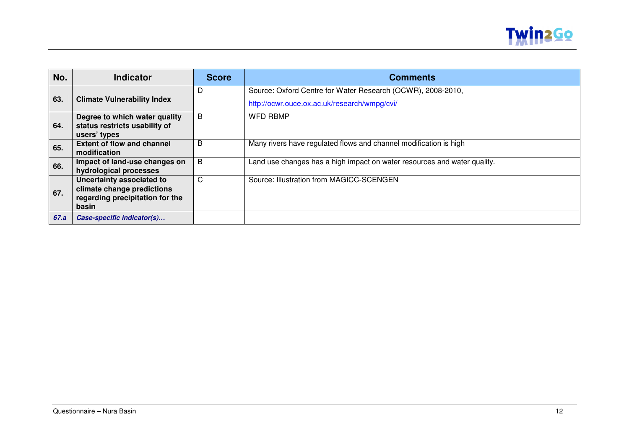

| No.  | <b>Indicator</b>                                                                                    | <b>Score</b> | <b>Comments</b>                                                                                             |
|------|-----------------------------------------------------------------------------------------------------|--------------|-------------------------------------------------------------------------------------------------------------|
| 63.  | <b>Climate Vulnerability Index</b>                                                                  | D            | Source: Oxford Centre for Water Research (OCWR), 2008-2010,<br>http://ocwr.ouce.ox.ac.uk/research/wmpg/cvi/ |
| 64.  | Degree to which water quality<br>status restricts usability of<br>users' types                      | B            | <b>WFD RBMP</b>                                                                                             |
| 65.  | <b>Extent of flow and channel</b><br>modification                                                   | B            | Many rivers have regulated flows and channel modification is high                                           |
| 66.  | Impact of land-use changes on<br>hydrological processes                                             | B            | Land use changes has a high impact on water resources and water quality.                                    |
| 67.  | Uncertainty associated to<br>climate change predictions<br>regarding precipitation for the<br>basin | C            | Source: Illustration from MAGICC-SCENGEN                                                                    |
| 67.a | Case-specific indicator(s)                                                                          |              |                                                                                                             |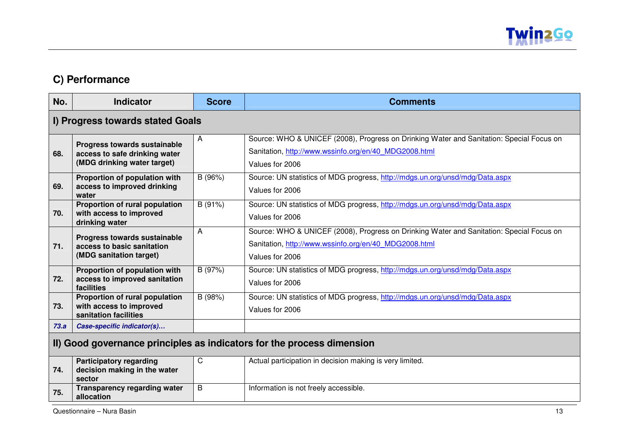

### **C) Performance**

| No.  | <b>Indicator</b>                                                                             | <b>Score</b> | <b>Comments</b>                                                                                                                                                      |  |
|------|----------------------------------------------------------------------------------------------|--------------|----------------------------------------------------------------------------------------------------------------------------------------------------------------------|--|
|      | I) Progress towards stated Goals                                                             |              |                                                                                                                                                                      |  |
| 68.  | Progress towards sustainable<br>access to safe drinking water<br>(MDG drinking water target) | A            | Source: WHO & UNICEF (2008), Progress on Drinking Water and Sanitation: Special Focus on<br>Sanitation, http://www.wssinfo.org/en/40 MDG2008.html<br>Values for 2006 |  |
| 69.  | Proportion of population with<br>access to improved drinking<br>water                        | B (96%)      | Source: UN statistics of MDG progress, http://mdgs.un.org/unsd/mdg/Data.aspx<br>Values for 2006                                                                      |  |
| 70.  | Proportion of rural population<br>with access to improved<br>drinking water                  | B (91%)      | Source: UN statistics of MDG progress, http://mdgs.un.org/unsd/mdg/Data.aspx<br>Values for 2006                                                                      |  |
| 71.  | Progress towards sustainable<br>access to basic sanitation<br>(MDG sanitation target)        | A            | Source: WHO & UNICEF (2008), Progress on Drinking Water and Sanitation: Special Focus on<br>Sanitation, http://www.wssinfo.org/en/40 MDG2008.html<br>Values for 2006 |  |
| 72.  | Proportion of population with<br>access to improved sanitation<br>facilities                 | B (97%)      | Source: UN statistics of MDG progress, http://mdgs.un.org/unsd/mdg/Data.aspx<br>Values for 2006                                                                      |  |
| 73.  | Proportion of rural population<br>with access to improved<br>sanitation facilities           | B (98%)      | Source: UN statistics of MDG progress, http://mdgs.un.org/unsd/mdg/Data.aspx<br>Values for 2006                                                                      |  |
| 73.a | Case-specific indicator(s)                                                                   |              |                                                                                                                                                                      |  |
|      | II) Good governance principles as indicators for the process dimension                       |              |                                                                                                                                                                      |  |
| 74.  | <b>Participatory regarding</b><br>decision making in the water<br>sector                     | C            | Actual participation in decision making is very limited.                                                                                                             |  |
| 75.  | <b>Transparency regarding water</b><br>allocation                                            | B            | Information is not freely accessible.                                                                                                                                |  |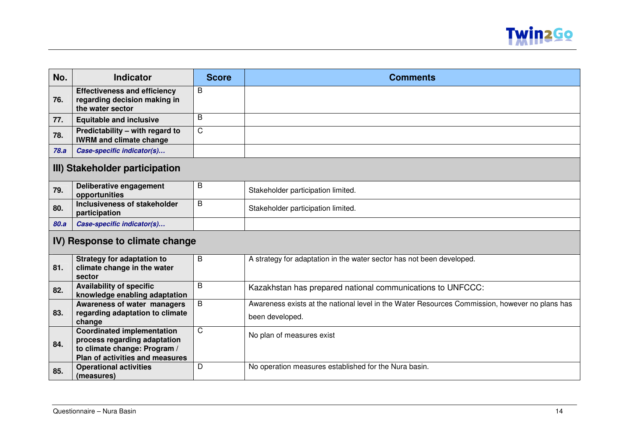

| No.  | <b>Indicator</b>                                                                                                                     | <b>Score</b> | <b>Comments</b>                                                                                                   |  |
|------|--------------------------------------------------------------------------------------------------------------------------------------|--------------|-------------------------------------------------------------------------------------------------------------------|--|
| 76.  | <b>Effectiveness and efficiency</b><br>regarding decision making in<br>the water sector                                              | B            |                                                                                                                   |  |
| 77.  | <b>Equitable and inclusive</b>                                                                                                       | B            |                                                                                                                   |  |
| 78.  | Predictability – with regard to<br><b>IWRM and climate change</b>                                                                    | $\mathsf{C}$ |                                                                                                                   |  |
| 78.a | Case-specific indicator(s)                                                                                                           |              |                                                                                                                   |  |
|      | III) Stakeholder participation                                                                                                       |              |                                                                                                                   |  |
| 79.  | Deliberative engagement<br>opportunities                                                                                             | B            | Stakeholder participation limited.                                                                                |  |
| 80.  | Inclusiveness of stakeholder<br>participation                                                                                        | B            | Stakeholder participation limited.                                                                                |  |
| 80.a | Case-specific indicator(s)                                                                                                           |              |                                                                                                                   |  |
|      | IV) Response to climate change                                                                                                       |              |                                                                                                                   |  |
| 81.  | <b>Strategy for adaptation to</b><br>climate change in the water<br>sector                                                           | B            | A strategy for adaptation in the water sector has not been developed.                                             |  |
| 82.  | <b>Availability of specific</b><br>knowledge enabling adaptation                                                                     | B            | Kazakhstan has prepared national communications to UNFCCC:                                                        |  |
| 83.  | Awareness of water managers<br>regarding adaptation to climate<br>change                                                             | B            | Awareness exists at the national level in the Water Resources Commission, however no plans has<br>been developed. |  |
| 84.  | <b>Coordinated implementation</b><br>process regarding adaptation<br>to climate change: Program /<br>Plan of activities and measures | $\mathsf{C}$ | No plan of measures exist                                                                                         |  |
| 85.  | <b>Operational activities</b><br>(measures)                                                                                          | D            | No operation measures established for the Nura basin.                                                             |  |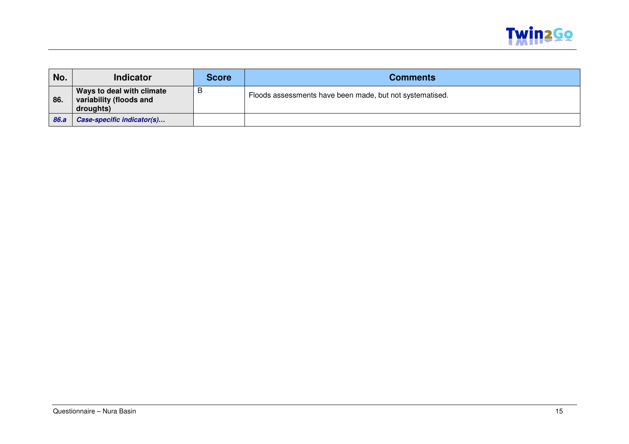

| No.  | <b>Indicator</b>                                                  | <b>Score</b> | <b>Comments</b>                                          |
|------|-------------------------------------------------------------------|--------------|----------------------------------------------------------|
| 86.  | Ways to deal with climate<br>variability (floods and<br>droughts) | B            | Floods assessments have been made, but not systematised. |
| 86.a | <b>Case-specific indicator(s)</b>                                 |              |                                                          |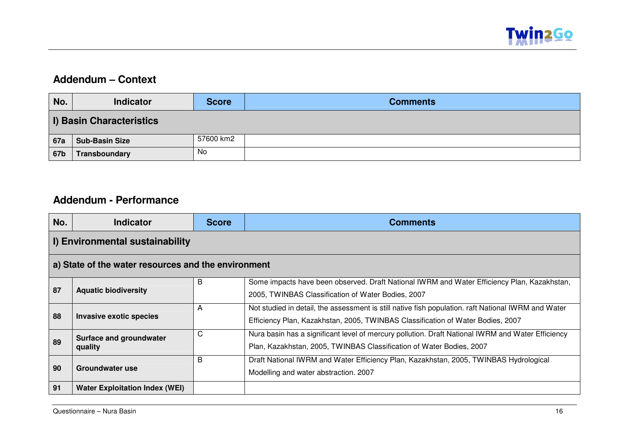

#### **Addendum – Context**

| No.                             | <b>Indicator</b>      | <b>Score</b> | <b>Comments</b> |  |
|---------------------------------|-----------------------|--------------|-----------------|--|
| <b>I) Basin Characteristics</b> |                       |              |                 |  |
| <b>67a</b>                      | <b>Sub-Basin Size</b> | 57600 km2    |                 |  |
| <b>67b</b>                      | Transboundary         | No           |                 |  |

#### **Addendum - Performance**

| No.                                                 | <b>Indicator</b>                      | <b>Score</b> | <b>Comments</b>                                                                                                                                                                        |  |  |  |
|-----------------------------------------------------|---------------------------------------|--------------|----------------------------------------------------------------------------------------------------------------------------------------------------------------------------------------|--|--|--|
| I) Environmental sustainability                     |                                       |              |                                                                                                                                                                                        |  |  |  |
| a) State of the water resources and the environment |                                       |              |                                                                                                                                                                                        |  |  |  |
| 87                                                  | <b>Aquatic biodiversity</b>           | B            | Some impacts have been observed. Draft National IWRM and Water Efficiency Plan, Kazakhstan,<br>2005, TWINBAS Classification of Water Bodies, 2007                                      |  |  |  |
| 88                                                  | Invasive exotic species               | A            | Not studied in detail, the assessment is still native fish population. raft National IWRM and Water<br>Efficiency Plan, Kazakhstan, 2005, TWINBAS Classification of Water Bodies, 2007 |  |  |  |
| 89                                                  | Surface and groundwater<br>quality    | C            | Nura basin has a significant level of mercury pollution. Draft National IWRM and Water Efficiency<br>Plan, Kazakhstan, 2005, TWINBAS Classification of Water Bodies, 2007              |  |  |  |
| 90                                                  | Groundwater use                       | B            | Draft National IWRM and Water Efficiency Plan, Kazakhstan, 2005, TWINBAS Hydrological<br>Modelling and water abstraction. 2007                                                         |  |  |  |
| 91                                                  | <b>Water Exploitation Index (WEI)</b> |              |                                                                                                                                                                                        |  |  |  |